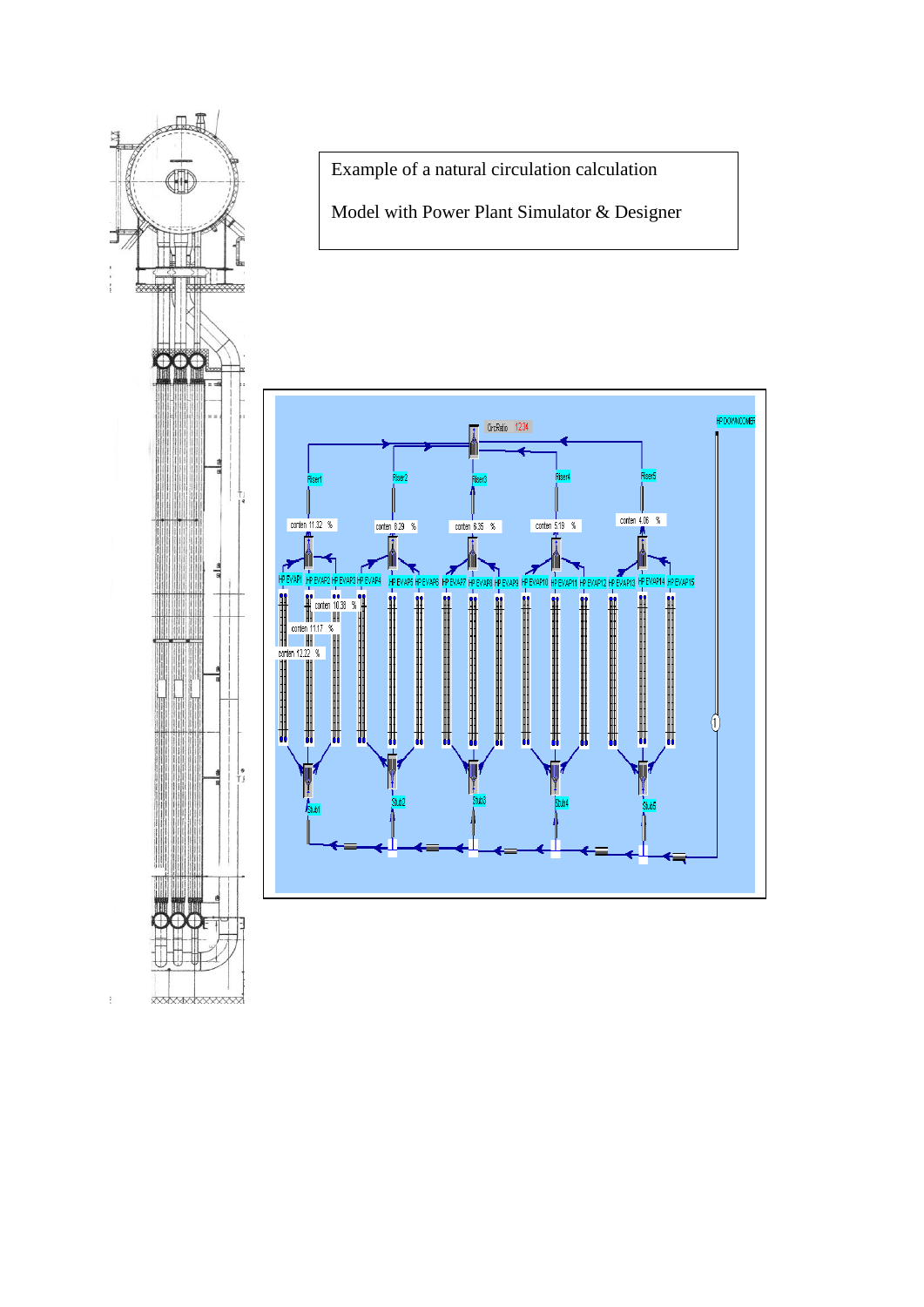

**XXXXXXXXXXXXX** 

 $\ddot{\cdot}$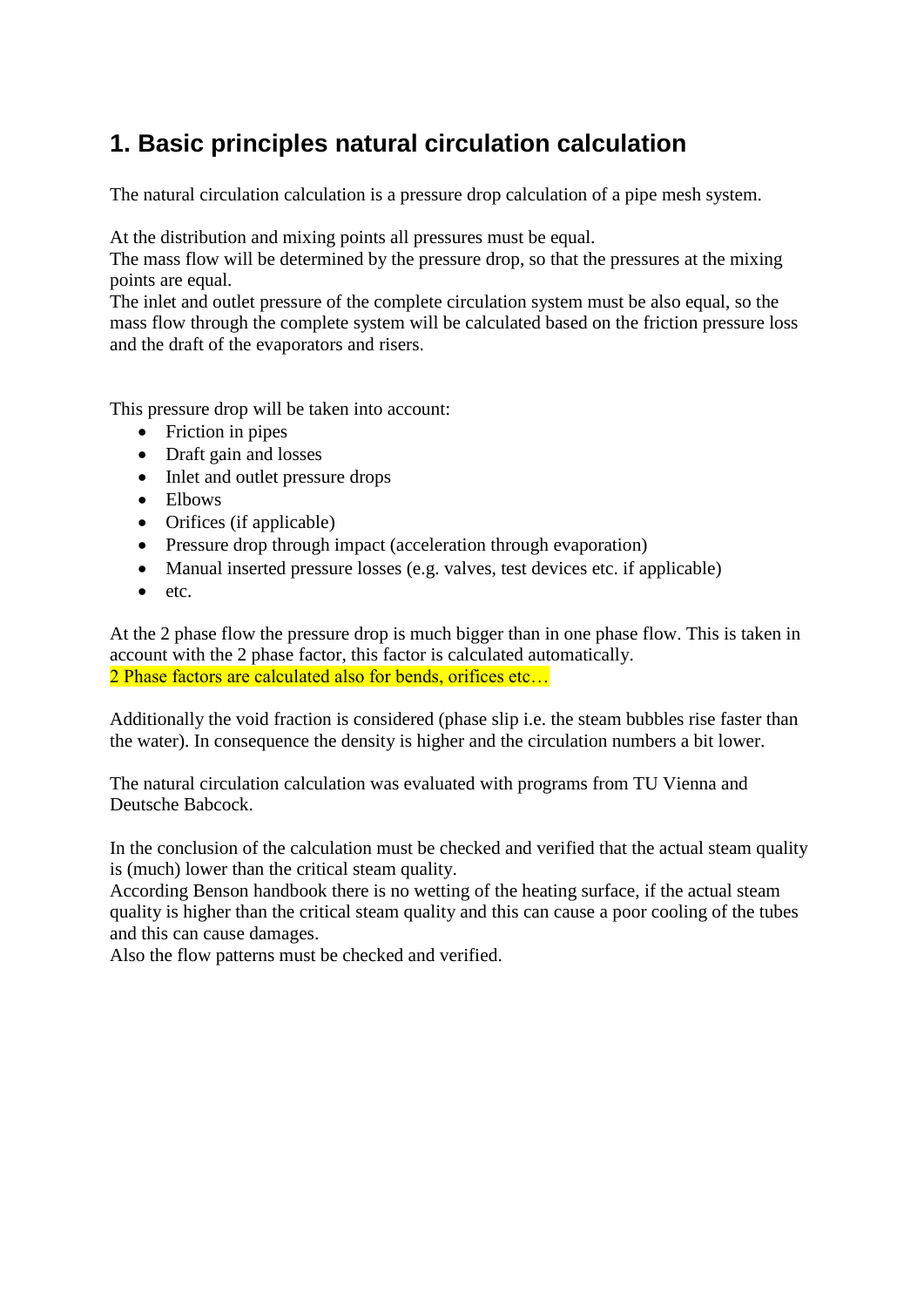## **1. Basic principles natural circulation calculation**

The natural circulation calculation is a pressure drop calculation of a pipe mesh system.

At the distribution and mixing points all pressures must be equal.

The mass flow will be determined by the pressure drop, so that the pressures at the mixing points are equal.

The inlet and outlet pressure of the complete circulation system must be also equal, so the mass flow through the complete system will be calculated based on the friction pressure loss and the draft of the evaporators and risers.

This pressure drop will be taken into account:

- Friction in pipes
- Draft gain and losses
- Inlet and outlet pressure drops
- Elbows
- Orifices (if applicable)
- Pressure drop through impact (acceleration through evaporation)
- Manual inserted pressure losses (e.g. valves, test devices etc. if applicable)
- etc.

At the 2 phase flow the pressure drop is much bigger than in one phase flow. This is taken in account with the 2 phase factor, this factor is calculated automatically. 2 Phase factors are calculated also for bends, orifices etc…

Additionally the void fraction is considered (phase slip i.e. the steam bubbles rise faster than the water). In consequence the density is higher and the circulation numbers a bit lower.

The natural circulation calculation was evaluated with programs from TU Vienna and Deutsche Babcock.

In the conclusion of the calculation must be checked and verified that the actual steam quality is (much) lower than the critical steam quality.

According Benson handbook there is no wetting of the heating surface, if the actual steam quality is higher than the critical steam quality and this can cause a poor cooling of the tubes and this can cause damages.

Also the flow patterns must be checked and verified.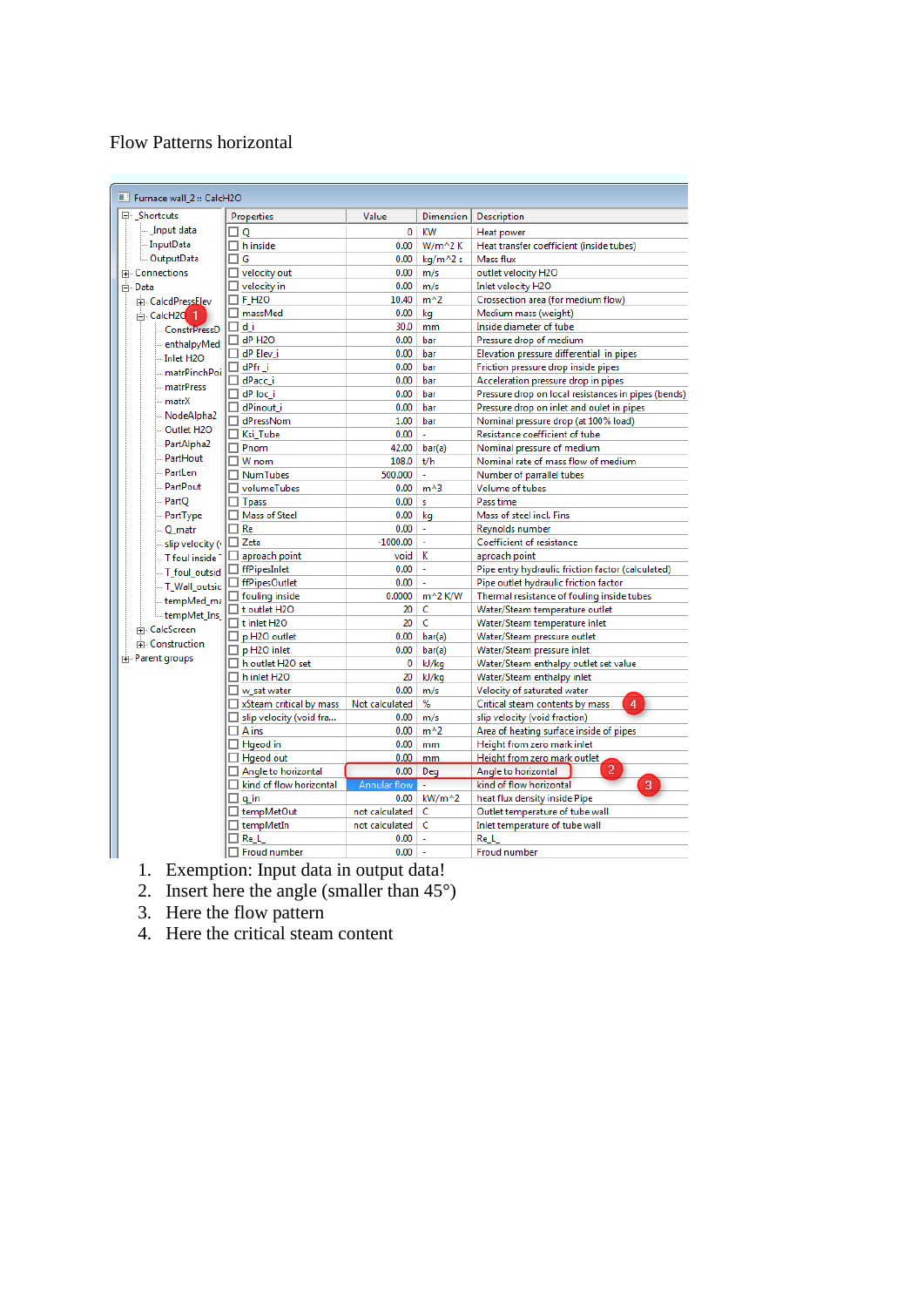## Flow Patterns horizontal

| Furnace wall_2 :: CalcH2O |                                |                |                  |                                                                                            |  |  |  |  |  |
|---------------------------|--------------------------------|----------------|------------------|--------------------------------------------------------------------------------------------|--|--|--|--|--|
| □ Shortcuts               | Properties                     | Value          | <b>Dimension</b> | Description                                                                                |  |  |  |  |  |
| Input data                | O                              | 0              | <b>KW</b>        | Heat power                                                                                 |  |  |  |  |  |
| -- InputData              | п<br>h inside                  | 0.00           | W/m^2K           | Heat transfer coefficient (inside tubes)                                                   |  |  |  |  |  |
| OutputData                | G<br>п                         | 0.00           | kg/m^2 s         | Mass flux                                                                                  |  |  |  |  |  |
| <b>E</b> Connections      | velocity out                   | 0.00           | m/s              | outlet velocity H2O                                                                        |  |  |  |  |  |
| <b>i</b> ⊣ Data           | velocity in                    | 0.00           | m/s              | Inlet velocity H2O                                                                         |  |  |  |  |  |
| <b>CalcdPressElev</b>     | $\square$ F H2O                | 10.40          | $m^2$            | Crossection area (for medium flow)                                                         |  |  |  |  |  |
| <b>Fi-CalcH2C</b>         | massMed                        | 0.00           | kg               | Medium mass (weight)                                                                       |  |  |  |  |  |
| - ConstrPressD            | di                             | 30.0           | mm               | Inside diameter of tube                                                                    |  |  |  |  |  |
| - enthalpyMed             | dP H <sub>2</sub> O            | 0.00           | bar              | Pressure drop of medium                                                                    |  |  |  |  |  |
| - Inlet H2O               | $\Box$ dP Elev_i               | 0.00           | bar              | Elevation pressure differential in pipes                                                   |  |  |  |  |  |
| - matrPinchPoi            | dPfr_i                         | 0.00           | bar              | Friction pressure drop inside pipes                                                        |  |  |  |  |  |
| matrPress                 | $\Box$ dPacc i                 | 0.00           | bar              | Acceleration pressure drop in pipes                                                        |  |  |  |  |  |
| $-matrX$                  | $\Box$ dP loc i                | 0.00           | bar              | Pressure drop on local resistances in pipes (bends)                                        |  |  |  |  |  |
|                           | $\Box$ dPinout i               | 0.00           | bar              | Pressure drop on inlet and oulet in pipes                                                  |  |  |  |  |  |
| - NodeAlpha2              | dPressNom                      | 1.00           | bar              | Nominal pressure drop (at 100% load)                                                       |  |  |  |  |  |
| - Outlet H2O              | п<br>Ksi Tube                  | 0.00           | L,               | Resistance coefficient of tube                                                             |  |  |  |  |  |
| -- PartAlpha2             | п<br>Pnom                      | 42.00          | bar(a)           | Nominal pressure of medium                                                                 |  |  |  |  |  |
| -- PartHout               | п<br>W <sub>nom</sub>          | 108.0          | t/h              | Nominal rate of mass flow of medium                                                        |  |  |  |  |  |
| PartLen                   | <b>NumTubes</b>                | 500.000        | L.               | Number of parrallel tubes                                                                  |  |  |  |  |  |
| - PartPout                | volumeTubes                    | 0.00           | $m^{\text{A}}$ 3 | Volume of tubes                                                                            |  |  |  |  |  |
| PartO                     | $\Box$ Tpass                   | 0.00           | s                | Pass time                                                                                  |  |  |  |  |  |
| PartType                  | Mass of Steel                  | 0.00           | kg               | Mass of steel incl. Fins                                                                   |  |  |  |  |  |
| O matr                    | $\Box$ Re                      | 0.00           | ÷.               | Reynolds number                                                                            |  |  |  |  |  |
| - slip velocity (v        | $\Box$ Zeta                    | $-1000.00$     |                  | Coefficient of resistance                                                                  |  |  |  |  |  |
| - T foul inside           | aproach point                  | void           | к                | aproach point                                                                              |  |  |  |  |  |
| -T foul outsid            | ffPipesInlet                   | 0.00           | ä,               | Pipe entry hydraulic friction factor (calculated)<br>Pipe outlet hydraulic friction factor |  |  |  |  |  |
| - T Wall outsic           | ffPipesOutlet                  | 0.00           | ÷.               |                                                                                            |  |  |  |  |  |
| -- tempMed_ma             | fouling inside                 | 0.0000         | m^2 K/W          | Thermal resistance of fouling inside tubes                                                 |  |  |  |  |  |
| tempMet_Ins               | $\Box$ t outlet H2O            | 20             | c                | Water/Steam temperature outlet                                                             |  |  |  |  |  |
| Fi-CalcScreen             | $\Box$ t inlet H2O             | 20             | c                | Water/Steam temperature inlet                                                              |  |  |  |  |  |
|                           | $\Box$ p H2O outlet            | 0.00           | bar(a)           | Water/Steam pressure outlet                                                                |  |  |  |  |  |
| <b>F</b> Construction     | p H2O inlet                    | 0.00           | bar(a)           | Water/Steam pressure inlet                                                                 |  |  |  |  |  |
| Parent groups             | h outlet H2O set               | 0              | kJ/kg            | Water/Steam enthalpy outlet set value                                                      |  |  |  |  |  |
|                           | h inlet H <sub>20</sub>        | 20             | kJ/kg            | Water/Steam enthalpy inlet                                                                 |  |  |  |  |  |
|                           | $\Box$ w_sat water             | 0.00           | m/s              | Velocity of saturated water                                                                |  |  |  |  |  |
|                           | $\Box$ xSteam critical by mass | Not calculated | %                | 4<br>Critical steam contents by mass                                                       |  |  |  |  |  |
|                           | $\Box$ slip velocity (void fra | 0.00           | m/s              | slip velocity (void fraction)                                                              |  |  |  |  |  |
|                           | $\Box$ A ins                   | 0.00           | $m^2$            | Area of heating surface inside of pipes                                                    |  |  |  |  |  |
|                           | $\Box$ Haeod in                | 0.00           | mm               | Height from zero mark inlet                                                                |  |  |  |  |  |
|                           | $\Box$ Hgeod out               | 0.00           | mm               | Height from zero mark outlet                                                               |  |  |  |  |  |
|                           | $\Box$ Angle to horizontal     | 0.00           | Dea              | $\overline{2}$<br>Angle to horizontal                                                      |  |  |  |  |  |
|                           | $\Box$ kind of flow horizontal | Annular flow   | L.               | 3 <sup>°</sup><br>kind of flow horizontal                                                  |  |  |  |  |  |
|                           | q_in                           | 0.00           | $kW/m^2$         | heat flux density inside Pipe                                                              |  |  |  |  |  |
|                           | $\Box$ tempMetOut              | not calculated | c                | Outlet temperature of tube wall                                                            |  |  |  |  |  |
|                           | tempMetIn                      | not calculated | c                | Inlet temperature of tube wall                                                             |  |  |  |  |  |
|                           | Re L                           | 0.00           | ÷                | Re L                                                                                       |  |  |  |  |  |
|                           | <b>Froud number</b>            | 0.00           | ä,               | <b>Froud number</b>                                                                        |  |  |  |  |  |

- 1. Exemption: Input data in output data!
- 2. Insert here the angle (smaller than  $45^{\circ}$ )
- 3. Here the flow pattern
- 4. Here the critical steam content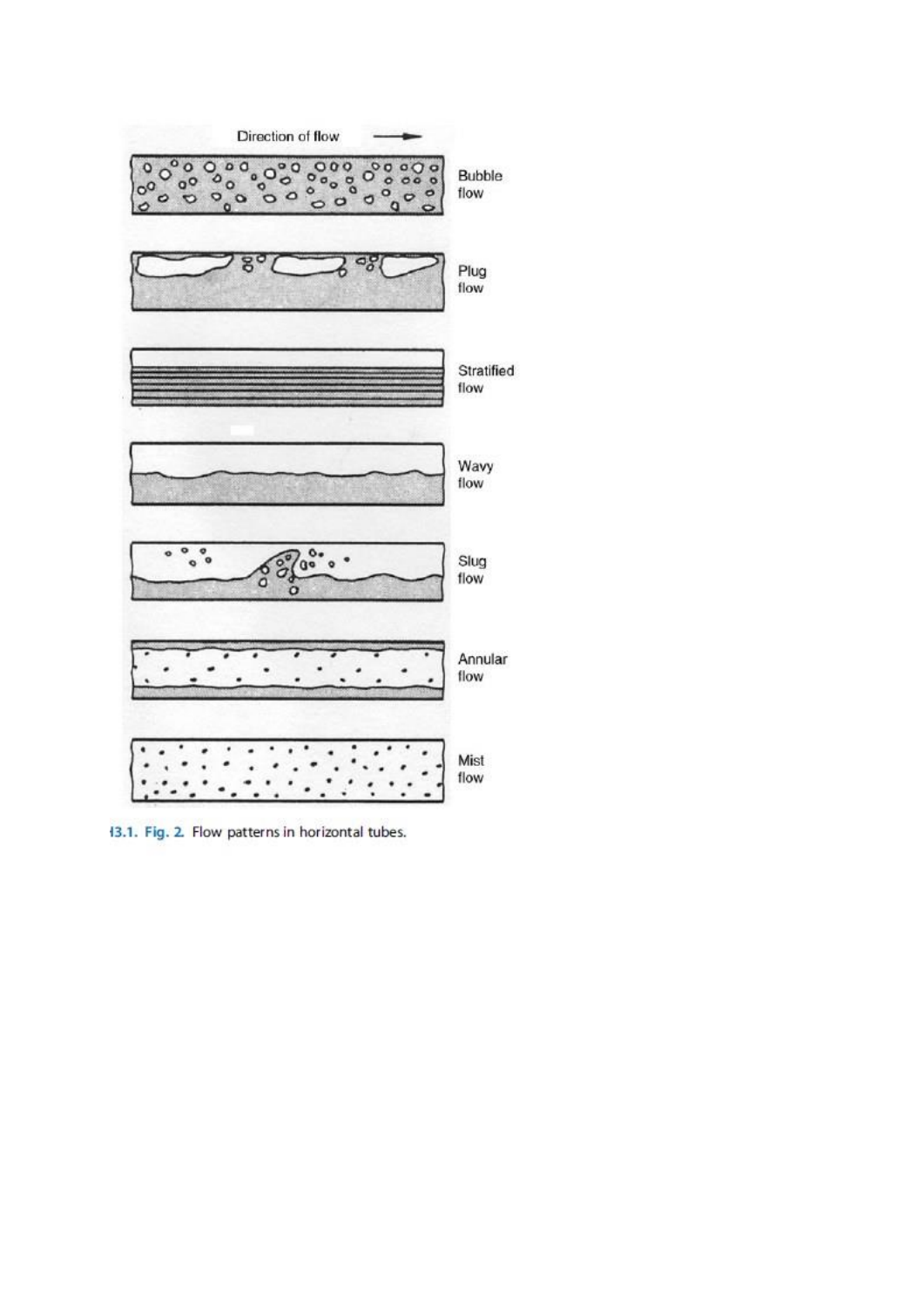

13.1. Fig. 2. Flow patterns in horizontal tubes.